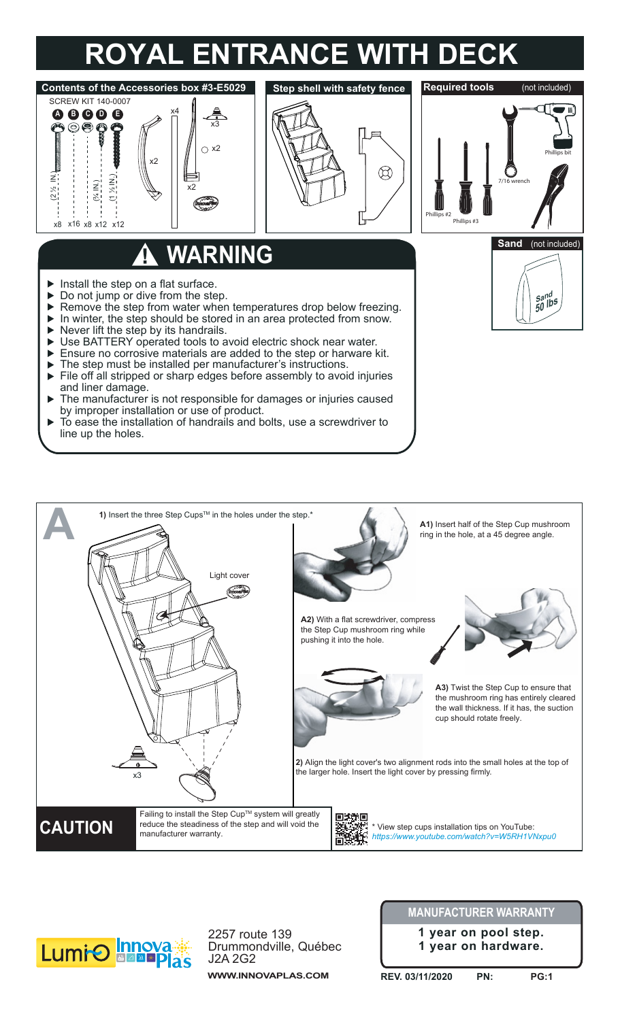## **ROYAL ENTRANCE WITH DECK**







2257 route 139 Drummondville, Québec J2A 2G2 **WWW.INNOVAPLAS.COM**

## **MANUFACTURER WARRANTY**

**1 year on pool step. 1 year on hardware.**

**REV. 03/11/2020 PN: PG:1**